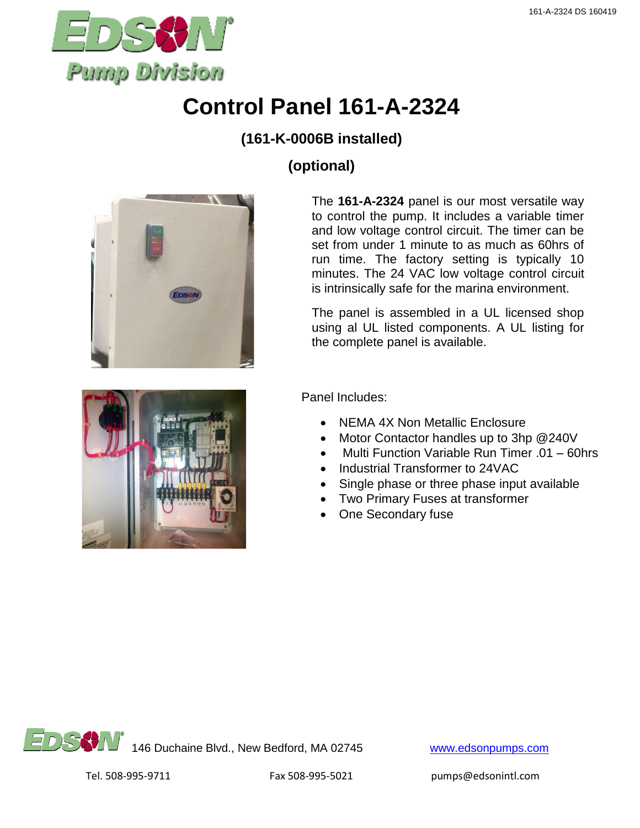

# **Control Panel 161-A-2324**

#### **(161-K-0006B installed)**

## **(optional)**



The **161-A-2324** panel is our most versatile way to control the pump. It includes a variable timer and low voltage control circuit. The timer can be set from under 1 minute to as much as 60hrs of run time. The factory setting is typically 10 minutes. The 24 VAC low voltage control circuit is intrinsically safe for the marina environment.

The panel is assembled in a UL licensed shop using al UL listed components. A UL listing for the complete panel is available.



Panel Includes:

- NEMA 4X Non Metallic Enclosure
- Motor Contactor handles up to 3hp @240V
- Multi Function Variable Run Timer .01 60hrs
- Industrial Transformer to 24VAC
- Single phase or three phase input available
- Two Primary Fuses at transformer
- One Secondary fuse

146 Duchaine Blvd., New Bedford, MA 02745 [www.edsonpumps.com](http://www.edsonpumps.com/)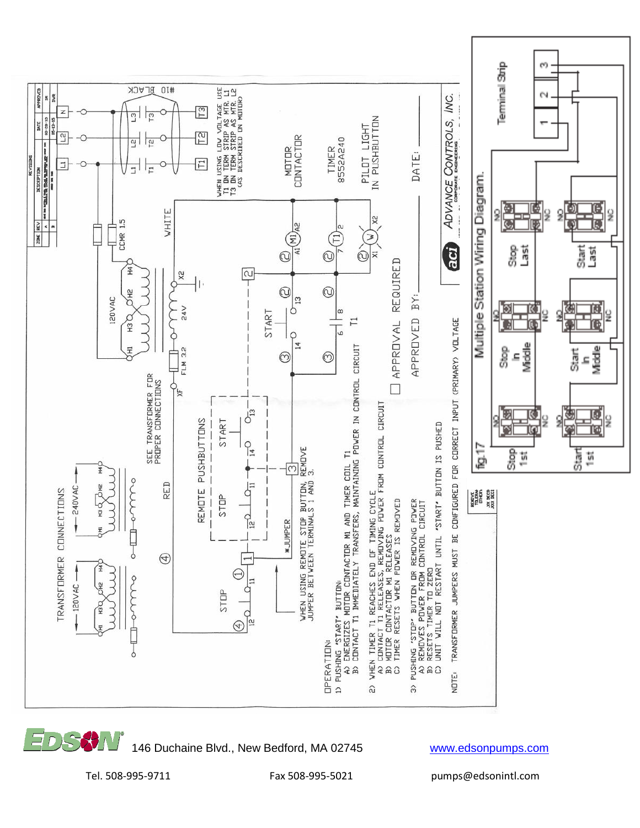

146 Duchaine Blvd., New Bedford, MA 02745 [www.edsonpumps.com](http://www.edsonpumps.com/)